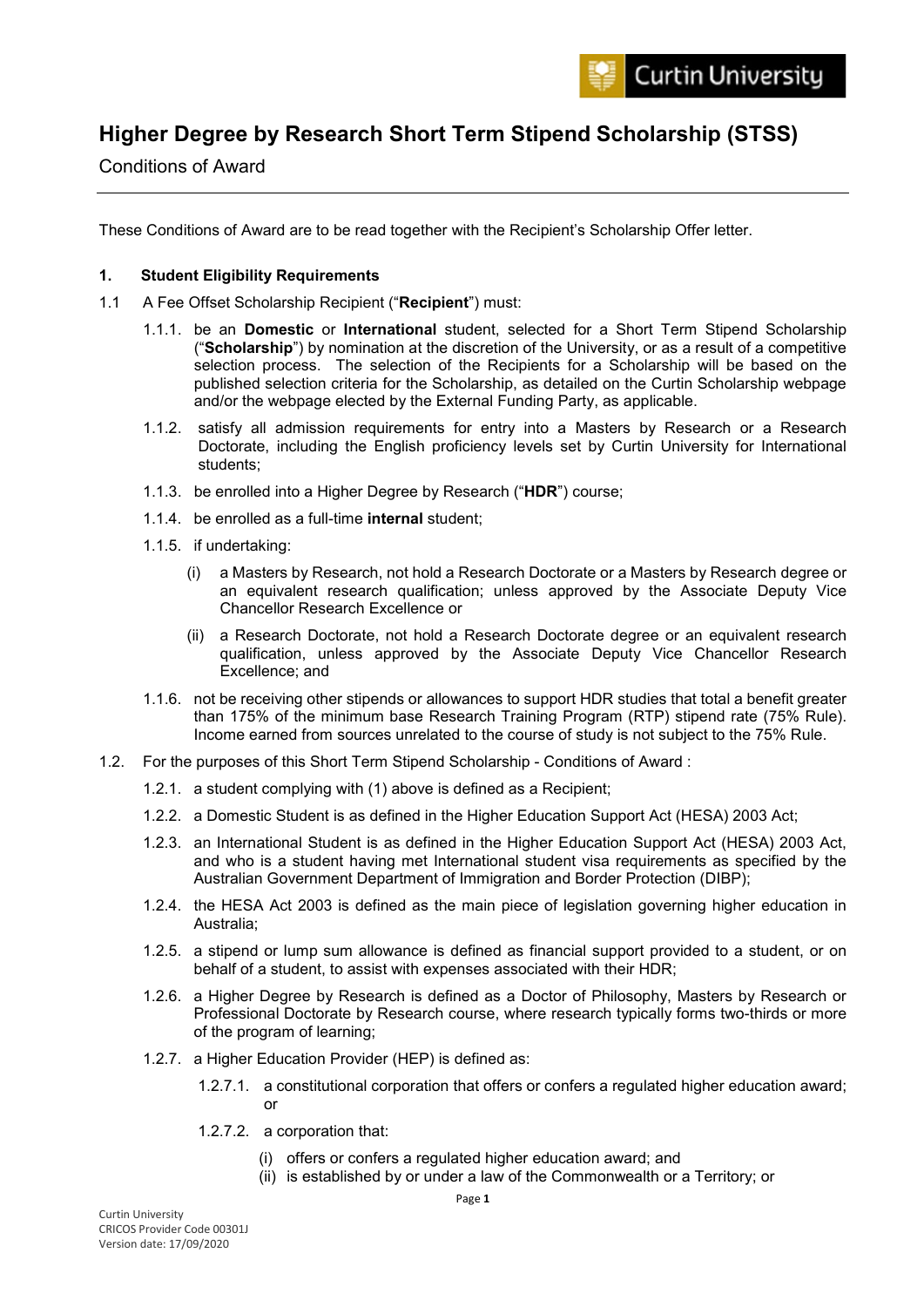# **Higher Degree by Research Short Term Stipend Scholarship (STSS)**

Conditions of Award

These Conditions of Award are to be read together with the Recipient's Scholarship Offer letter.

# **1. Student Eligibility Requirements**

- 1.1 A Fee Offset Scholarship Recipient ("**Recipient**") must:
	- 1.1.1. be an **Domestic** or **International** student, selected for a Short Term Stipend Scholarship ("**Scholarship**") by nomination at the discretion of the University, or as a result of a competitive selection process. The selection of the Recipients for a Scholarship will be based on the published selection criteria for the Scholarship, as detailed on the Curtin Scholarship webpage and/or the webpage elected by the External Funding Party, as applicable.
	- 1.1.2. satisfy all admission requirements for entry into a Masters by Research or a Research Doctorate, including the English proficiency levels set by Curtin University for International students;
	- 1.1.3. be enrolled into a Higher Degree by Research ("**HDR**") course;
	- 1.1.4. be enrolled as a full-time **internal** student;
	- 1.1.5. if undertaking:
		- (i) a Masters by Research, not hold a Research Doctorate or a Masters by Research degree or an equivalent research qualification; unless approved by the Associate Deputy Vice Chancellor Research Excellence or
		- (ii) a Research Doctorate, not hold a Research Doctorate degree or an equivalent research qualification, unless approved by the Associate Deputy Vice Chancellor Research Excellence; and
	- 1.1.6. not be receiving other stipends or allowances to support HDR studies that total a benefit greater than 175% of the minimum base Research Training Program (RTP) stipend rate (75% Rule). Income earned from sources unrelated to the course of study is not subject to the 75% Rule.
- 1.2. For the purposes of this Short Term Stipend Scholarship Conditions of Award :
	- 1.2.1. a student complying with (1) above is defined as a Recipient;
	- 1.2.2. a Domestic Student is as defined in the Higher Education Support Act (HESA) 2003 Act;
	- 1.2.3. an International Student is as defined in the Higher Education Support Act (HESA) 2003 Act, and who is a student having met International student visa requirements as specified by the Australian Government Department of Immigration and Border Protection (DIBP);
	- 1.2.4. the HESA Act 2003 is defined as the main piece of legislation governing higher education in Australia;
	- 1.2.5. a stipend or lump sum allowance is defined as financial support provided to a student, or on behalf of a student, to assist with expenses associated with their HDR;
	- 1.2.6. a Higher Degree by Research is defined as a Doctor of Philosophy, Masters by Research or Professional Doctorate by Research course, where research typically forms two-thirds or more of the program of learning;
	- 1.2.7. a Higher Education Provider (HEP) is defined as:
		- 1.2.7.1. a constitutional corporation that offers or confers a regulated higher education award; or
		- 1.2.7.2. a corporation that:
			- (i) offers or confers a regulated higher education award; and
			- (ii) is established by or under a law of the Commonwealth or a Territory; or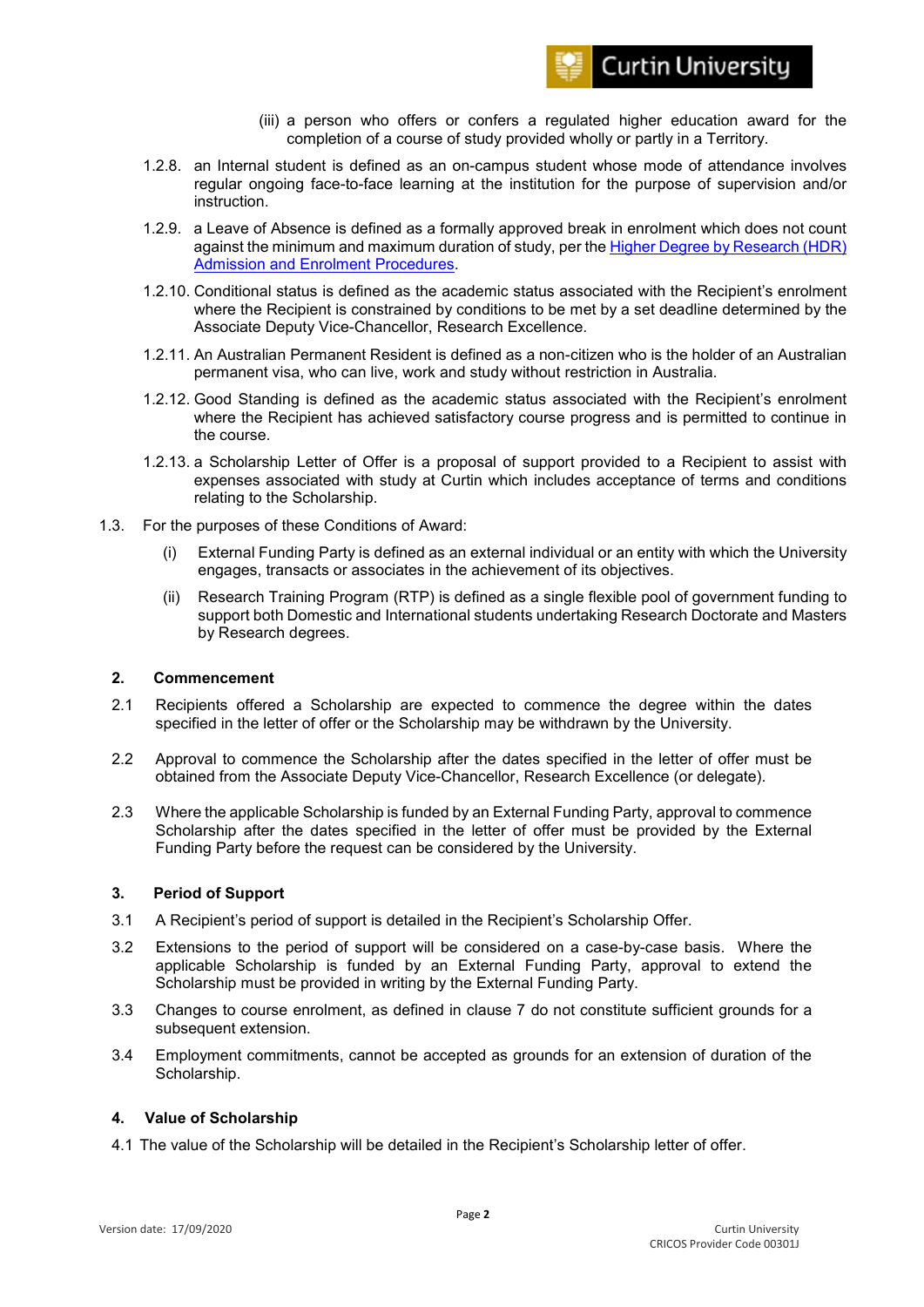

- (iii) a person who offers or confers a regulated higher education award for the completion of a course of study provided wholly or partly in a Territory.
- 1.2.8. an Internal student is defined as an on-campus student whose mode of attendance involves regular ongoing face-to-face learning at the institution for the purpose of supervision and/or **instruction**
- 1.2.9. a Leave of Absence is defined as a formally approved break in enrolment which does not count against the minimum and maximum duration of study, per the [Higher Degree by Research \(HDR\)](https://policies.curtin.edu.au/local/docs/policy/Higher_Degree_by_Research_(HDR)_Admissions_and_Enrolment_Procedures.pdf)  [Admission and Enrolment Procedures.](https://policies.curtin.edu.au/local/docs/policy/Higher_Degree_by_Research_(HDR)_Admissions_and_Enrolment_Procedures.pdf)
- 1.2.10. Conditional status is defined as the academic status associated with the Recipient's enrolment where the Recipient is constrained by conditions to be met by a set deadline determined by the Associate Deputy Vice-Chancellor, Research Excellence.
- 1.2.11. An Australian Permanent Resident is defined as a non-citizen who is the holder of an Australian permanent visa, who can live, work and study without restriction in Australia.
- 1.2.12. Good Standing is defined as the academic status associated with the Recipient's enrolment where the Recipient has achieved satisfactory course progress and is permitted to continue in the course.
- 1.2.13. a Scholarship Letter of Offer is a proposal of support provided to a Recipient to assist with expenses associated with study at Curtin which includes acceptance of terms and conditions relating to the Scholarship.
- 1.3. For the purposes of these Conditions of Award:
	- (i) External Funding Party is defined as an external individual or an entity with which the University engages, transacts or associates in the achievement of its objectives.
	- (ii) Research Training Program (RTP) is defined as a single flexible pool of government funding to support both Domestic and International students undertaking Research Doctorate and Masters by Research degrees.

# **2. Commencement**

- 2.1 Recipients offered a Scholarship are expected to commence the degree within the dates specified in the letter of offer or the Scholarship may be withdrawn by the University.
- 2.2 Approval to commence the Scholarship after the dates specified in the letter of offer must be obtained from the Associate Deputy Vice-Chancellor, Research Excellence (or delegate).
- 2.3 Where the applicable Scholarship is funded by an External Funding Party, approval to commence Scholarship after the dates specified in the letter of offer must be provided by the External Funding Party before the request can be considered by the University.

#### **3. Period of Support**

- 3.1 A Recipient's period of support is detailed in the Recipient's Scholarship Offer.
- 3.2 Extensions to the period of support will be considered on a case-by-case basis. Where the applicable Scholarship is funded by an External Funding Party, approval to extend the Scholarship must be provided in writing by the External Funding Party.
- 3.3 Changes to course enrolment, as defined in clause 7 do not constitute sufficient grounds for a subsequent extension.
- 3.4 Employment commitments, cannot be accepted as grounds for an extension of duration of the Scholarship.

#### **4. Value of Scholarship**

4.1 The value of the Scholarship will be detailed in the Recipient's Scholarship letter of offer.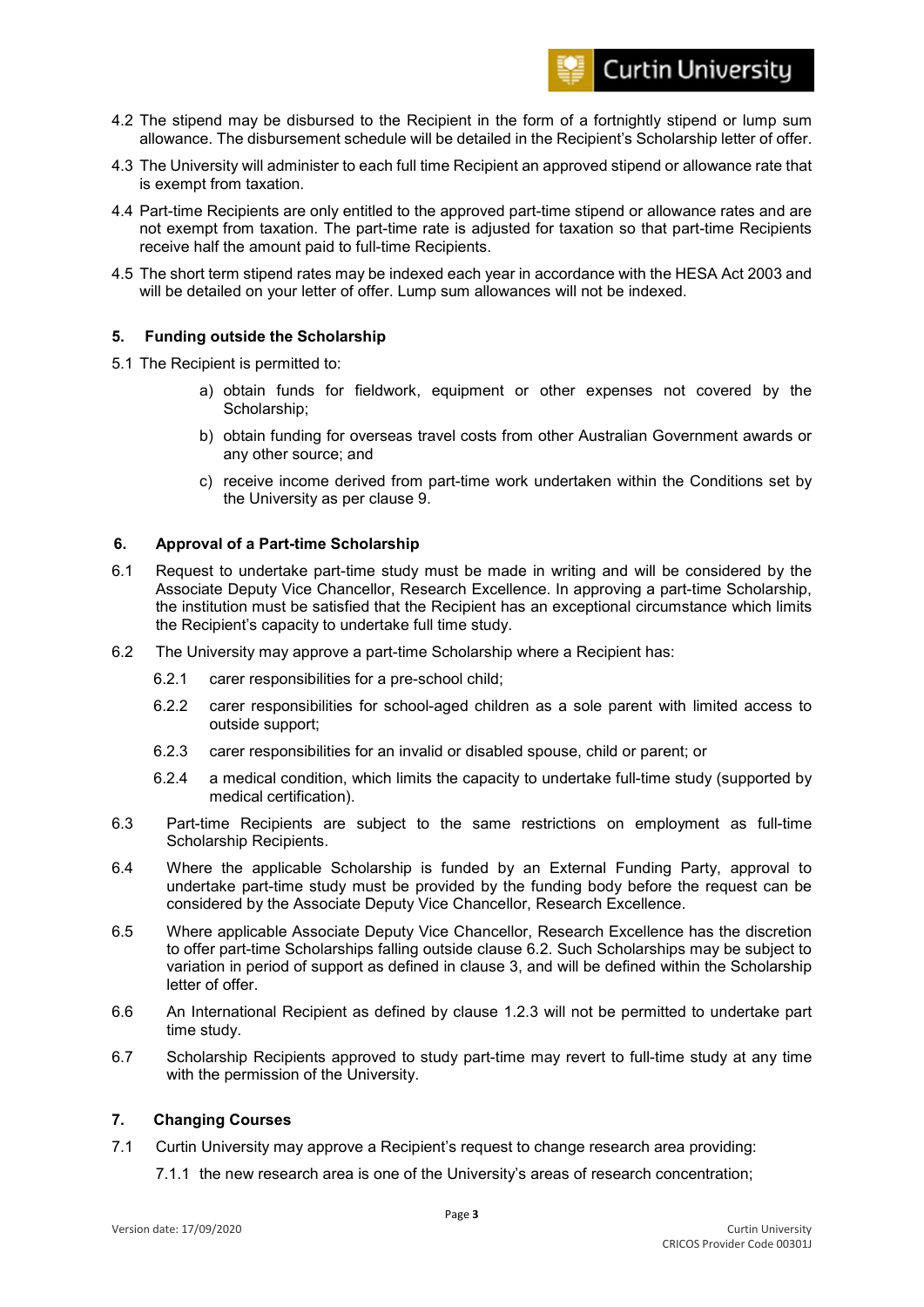

- 4.2 The stipend may be disbursed to the Recipient in the form of a fortnightly stipend or lump sum allowance. The disbursement schedule will be detailed in the Recipient's Scholarship letter of offer.
- 4.3 The University will administer to each full time Recipient an approved stipend or allowance rate that is exempt from taxation.
- 4.4 Part-time Recipients are only entitled to the approved part-time stipend or allowance rates and are not exempt from taxation. The part-time rate is adjusted for taxation so that part-time Recipients receive half the amount paid to full-time Recipients.
- 4.5 The short term stipend rates may be indexed each year in accordance with the HESA Act 2003 and will be detailed on your letter of offer. Lump sum allowances will not be indexed.

#### **5. Funding outside the Scholarship**

- 5.1 The Recipient is permitted to:
	- a) obtain funds for fieldwork, equipment or other expenses not covered by the Scholarship;
	- b) obtain funding for overseas travel costs from other Australian Government awards or any other source; and
	- c) receive income derived from part-time work undertaken within the Conditions set by the University as per clause 9.

#### **6. Approval of a Part-time Scholarship**

- 6.1 Request to undertake part-time study must be made in writing and will be considered by the Associate Deputy Vice Chancellor, Research Excellence. In approving a part-time Scholarship, the institution must be satisfied that the Recipient has an exceptional circumstance which limits the Recipient's capacity to undertake full time study.
- 6.2 The University may approve a part-time Scholarship where a Recipient has:
	- 6.2.1 carer responsibilities for a pre-school child;
	- 6.2.2 carer responsibilities for school-aged children as a sole parent with limited access to outside support;
	- 6.2.3 carer responsibilities for an invalid or disabled spouse, child or parent; or
	- 6.2.4 a medical condition, which limits the capacity to undertake full-time study (supported by medical certification).
- 6.3 Part-time Recipients are subject to the same restrictions on employment as full-time Scholarship Recipients.
- 6.4 Where the applicable Scholarship is funded by an External Funding Party, approval to undertake part-time study must be provided by the funding body before the request can be considered by the Associate Deputy Vice Chancellor, Research Excellence.
- 6.5 Where applicable Associate Deputy Vice Chancellor, Research Excellence has the discretion to offer part-time Scholarships falling outside clause 6.2. Such Scholarships may be subject to variation in period of support as defined in clause 3, and will be defined within the Scholarship letter of offer.
- 6.6 An International Recipient as defined by clause 1.2.3 will not be permitted to undertake part time study.
- 6.7 Scholarship Recipients approved to study part-time may revert to full-time study at any time with the permission of the University.

#### **7. Changing Courses**

- 7.1 Curtin University may approve a Recipient's request to change research area providing:
	- 7.1.1 the new research area is one of the University's areas of research concentration;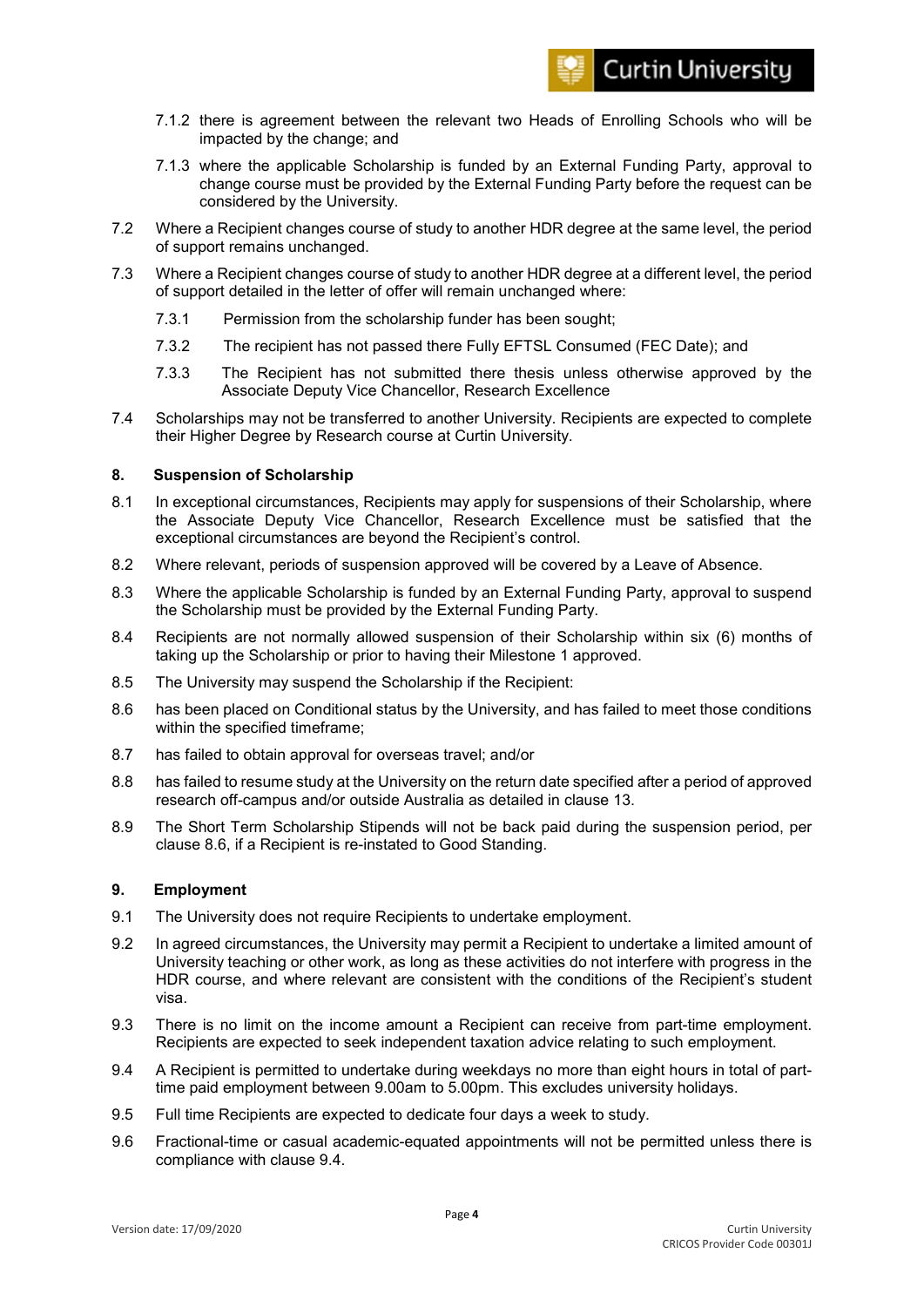

- 7.1.2 there is agreement between the relevant two Heads of Enrolling Schools who will be impacted by the change; and
- 7.1.3 where the applicable Scholarship is funded by an External Funding Party, approval to change course must be provided by the External Funding Party before the request can be considered by the University.
- 7.2 Where a Recipient changes course of study to another HDR degree at the same level, the period of support remains unchanged.
- 7.3 Where a Recipient changes course of study to another HDR degree at a different level, the period of support detailed in the letter of offer will remain unchanged where:
	- 7.3.1 Permission from the scholarship funder has been sought;
	- 7.3.2 The recipient has not passed there Fully EFTSL Consumed (FEC Date); and
	- 7.3.3 The Recipient has not submitted there thesis unless otherwise approved by the Associate Deputy Vice Chancellor, Research Excellence
- 7.4 Scholarships may not be transferred to another University. Recipients are expected to complete their Higher Degree by Research course at Curtin University.

#### **8. Suspension of Scholarship**

- 8.1 In exceptional circumstances, Recipients may apply for suspensions of their Scholarship, where the Associate Deputy Vice Chancellor, Research Excellence must be satisfied that the exceptional circumstances are beyond the Recipient's control.
- 8.2 Where relevant, periods of suspension approved will be covered by a Leave of Absence.
- 8.3 Where the applicable Scholarship is funded by an External Funding Party, approval to suspend the Scholarship must be provided by the External Funding Party.
- 8.4 Recipients are not normally allowed suspension of their Scholarship within six (6) months of taking up the Scholarship or prior to having their Milestone 1 approved.
- 8.5 The University may suspend the Scholarship if the Recipient:
- 8.6 has been placed on Conditional status by the University, and has failed to meet those conditions within the specified timeframe;
- 8.7 has failed to obtain approval for overseas travel; and/or
- 8.8 has failed to resume study at the University on the return date specified after a period of approved research off-campus and/or outside Australia as detailed in clause 13.
- 8.9 The Short Term Scholarship Stipends will not be back paid during the suspension period, per clause 8.6, if a Recipient is re-instated to Good Standing.

#### **9. Employment**

- 9.1 The University does not require Recipients to undertake employment.
- 9.2 In agreed circumstances, the University may permit a Recipient to undertake a limited amount of University teaching or other work, as long as these activities do not interfere with progress in the HDR course, and where relevant are consistent with the conditions of the Recipient's student visa.
- 9.3 There is no limit on the income amount a Recipient can receive from part-time employment. Recipients are expected to seek independent taxation advice relating to such employment.
- 9.4 A Recipient is permitted to undertake during weekdays no more than eight hours in total of parttime paid employment between 9.00am to 5.00pm. This excludes university holidays.
- 9.5 Full time Recipients are expected to dedicate four days a week to study.
- 9.6 Fractional-time or casual academic-equated appointments will not be permitted unless there is compliance with clause 9.4.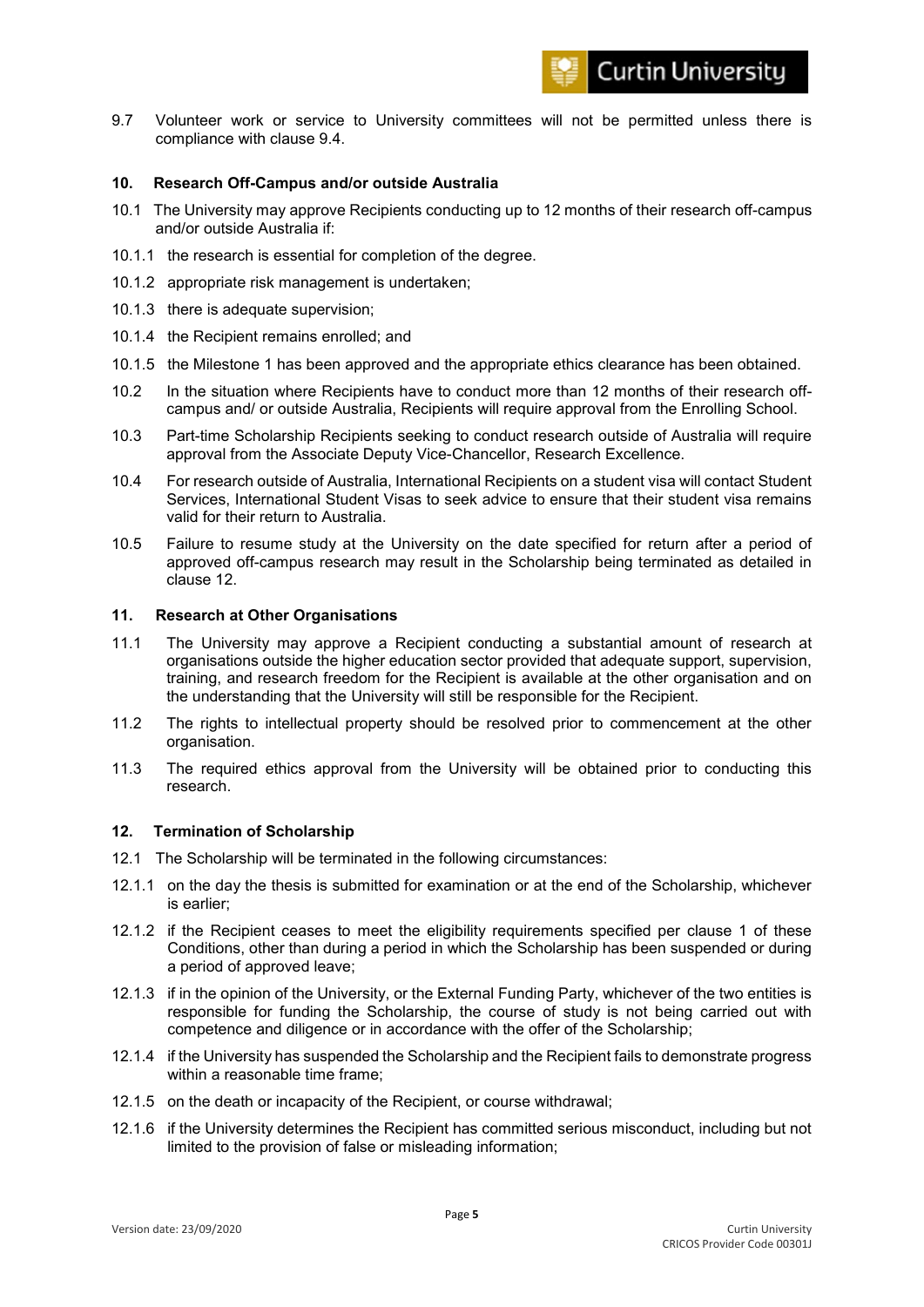9.7 Volunteer work or service to University committees will not be permitted unless there is compliance with clause 9.4.

#### **10. Research Off-Campus and/or outside Australia**

- 10.1 The University may approve Recipients conducting up to 12 months of their research off-campus and/or outside Australia if:
- 10.1.1 the research is essential for completion of the degree.
- 10.1.2 appropriate risk management is undertaken;
- 10.1.3 there is adequate supervision;
- 10.1.4 the Recipient remains enrolled; and
- 10.1.5 the Milestone 1 has been approved and the appropriate ethics clearance has been obtained.
- 10.2 In the situation where Recipients have to conduct more than 12 months of their research offcampus and/ or outside Australia, Recipients will require approval from the Enrolling School.
- 10.3 Part-time Scholarship Recipients seeking to conduct research outside of Australia will require approval from the Associate Deputy Vice-Chancellor, Research Excellence.
- 10.4 For research outside of Australia, International Recipients on a student visa will contact Student Services, International Student Visas to seek advice to ensure that their student visa remains valid for their return to Australia.
- 10.5 Failure to resume study at the University on the date specified for return after a period of approved off-campus research may result in the Scholarship being terminated as detailed in clause 12.

#### **11. Research at Other Organisations**

- 11.1 The University may approve a Recipient conducting a substantial amount of research at organisations outside the higher education sector provided that adequate support, supervision, training, and research freedom for the Recipient is available at the other organisation and on the understanding that the University will still be responsible for the Recipient.
- 11.2 The rights to intellectual property should be resolved prior to commencement at the other organisation.
- 11.3 The required ethics approval from the University will be obtained prior to conducting this research.

#### **12. Termination of Scholarship**

- 12.1 The Scholarship will be terminated in the following circumstances:
- 12.1.1 on the day the thesis is submitted for examination or at the end of the Scholarship, whichever is earlier;
- 12.1.2 if the Recipient ceases to meet the eligibility requirements specified per clause 1 of these Conditions, other than during a period in which the Scholarship has been suspended or during a period of approved leave;
- 12.1.3 if in the opinion of the University, or the External Funding Party, whichever of the two entities is responsible for funding the Scholarship, the course of study is not being carried out with competence and diligence or in accordance with the offer of the Scholarship;
- 12.1.4 if the University has suspended the Scholarship and the Recipient fails to demonstrate progress within a reasonable time frame;
- 12.1.5 on the death or incapacity of the Recipient, or course withdrawal;
- 12.1.6 if the University determines the Recipient has committed serious misconduct, including but not limited to the provision of false or misleading information;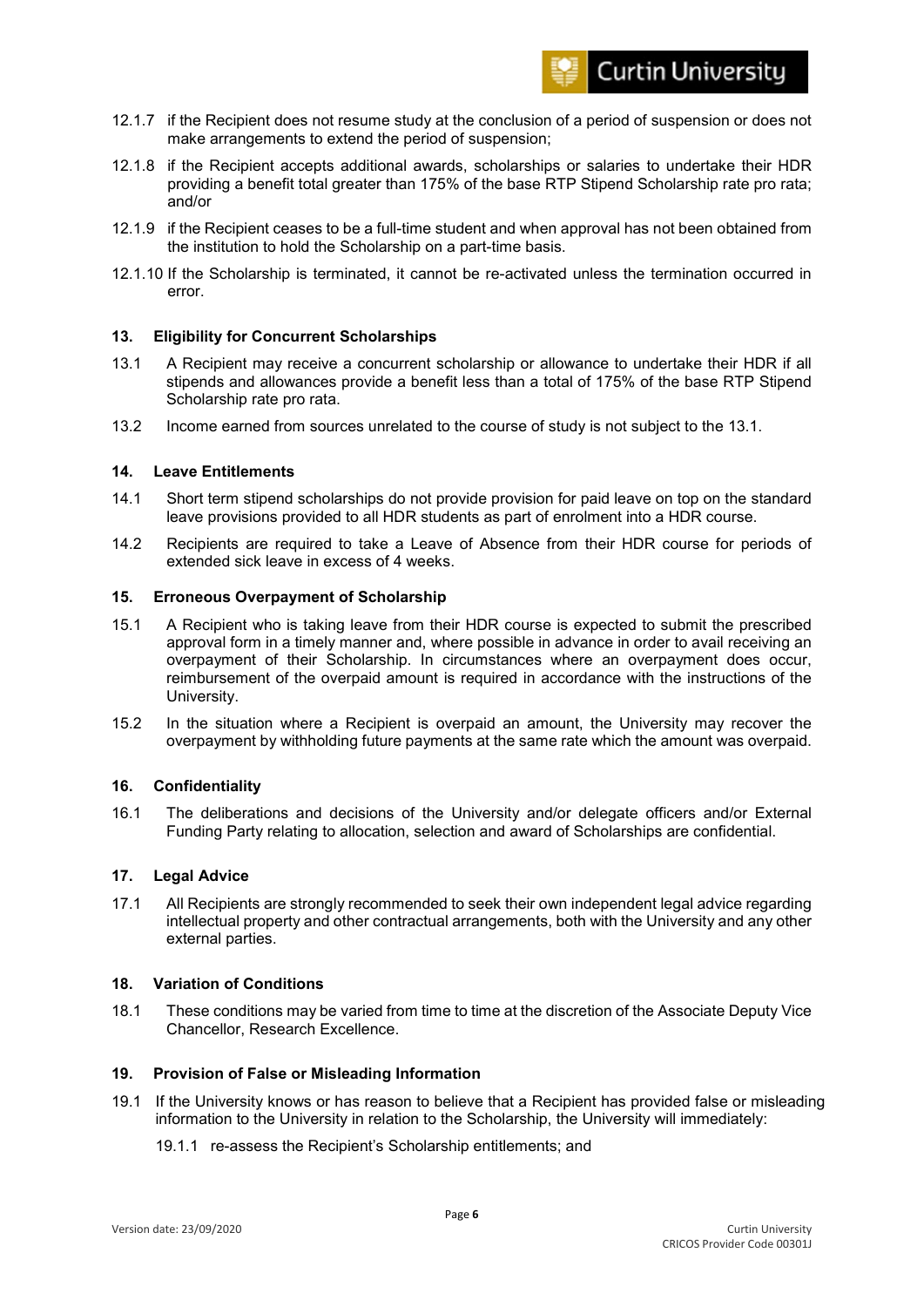- 12.1.7 if the Recipient does not resume study at the conclusion of a period of suspension or does not make arrangements to extend the period of suspension;
- 12.1.8 if the Recipient accepts additional awards, scholarships or salaries to undertake their HDR providing a benefit total greater than 175% of the base RTP Stipend Scholarship rate pro rata; and/or
- 12.1.9 if the Recipient ceases to be a full-time student and when approval has not been obtained from the institution to hold the Scholarship on a part-time basis.
- 12.1.10 If the Scholarship is terminated, it cannot be re-activated unless the termination occurred in error.

# **13. Eligibility for Concurrent Scholarships**

- 13.1 A Recipient may receive a concurrent scholarship or allowance to undertake their HDR if all stipends and allowances provide a benefit less than a total of 175% of the base RTP Stipend Scholarship rate pro rata.
- 13.2 Income earned from sources unrelated to the course of study is not subject to the 13.1.

# **14. Leave Entitlements**

- 14.1 Short term stipend scholarships do not provide provision for paid leave on top on the standard leave provisions provided to all HDR students as part of enrolment into a HDR course.
- 14.2 Recipients are required to take a Leave of Absence from their HDR course for periods of extended sick leave in excess of 4 weeks.

#### **15. Erroneous Overpayment of Scholarship**

- 15.1 A Recipient who is taking leave from their HDR course is expected to submit the prescribed approval form in a timely manner and, where possible in advance in order to avail receiving an overpayment of their Scholarship. In circumstances where an overpayment does occur, reimbursement of the overpaid amount is required in accordance with the instructions of the University.
- 15.2 In the situation where a Recipient is overpaid an amount, the University may recover the overpayment by withholding future payments at the same rate which the amount was overpaid.

#### **16. Confidentiality**

16.1 The deliberations and decisions of the University and/or delegate officers and/or External Funding Party relating to allocation, selection and award of Scholarships are confidential.

#### **17. Legal Advice**

17.1 All Recipients are strongly recommended to seek their own independent legal advice regarding intellectual property and other contractual arrangements, both with the University and any other external parties.

#### **18. Variation of Conditions**

18.1 These conditions may be varied from time to time at the discretion of the Associate Deputy Vice Chancellor, Research Excellence.

#### **19. Provision of False or Misleading Information**

- 19.1 If the University knows or has reason to believe that a Recipient has provided false or misleading information to the University in relation to the Scholarship, the University will immediately:
	- 19.1.1 re-assess the Recipient's Scholarship entitlements; and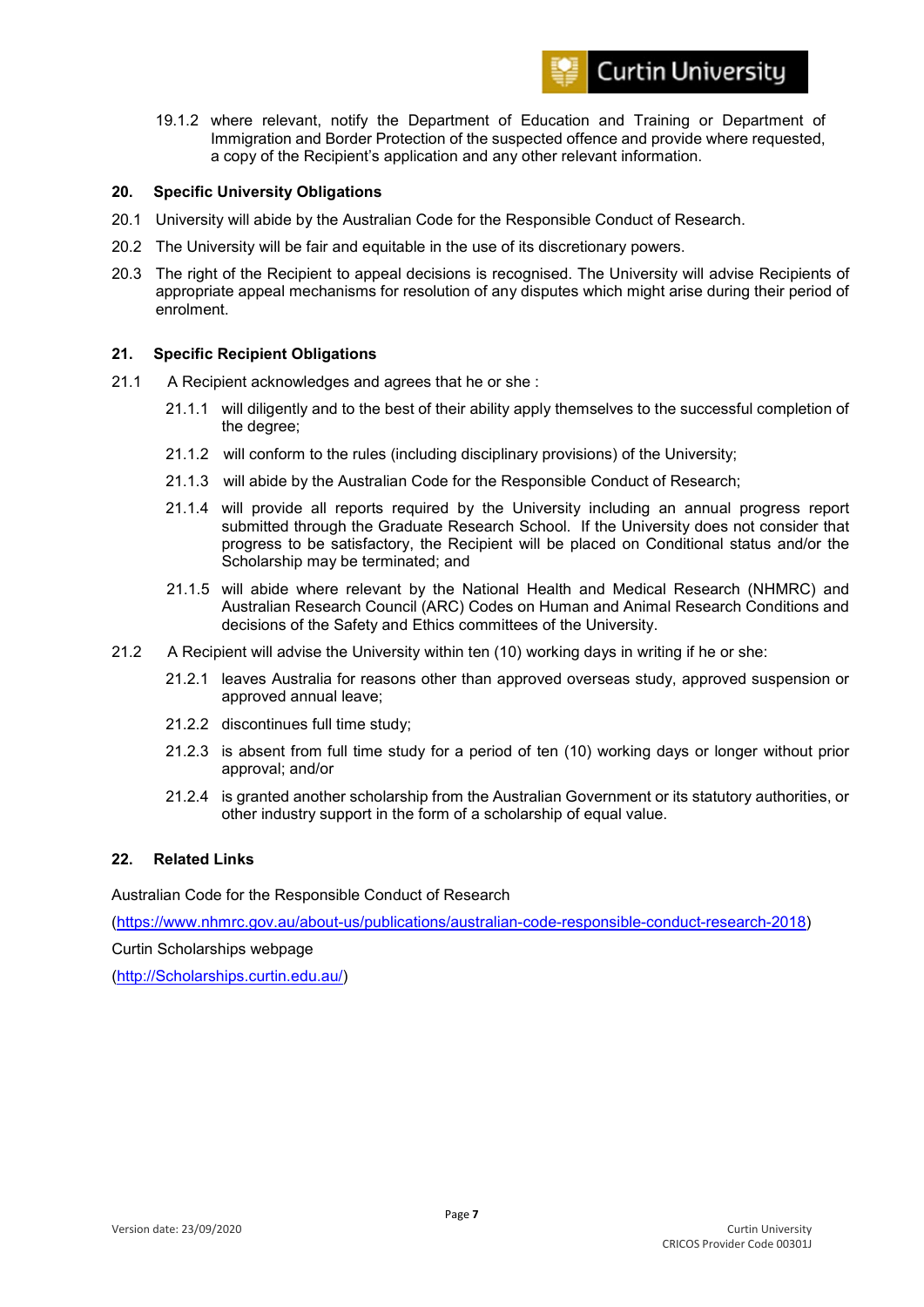

19.1.2 where relevant, notify the Department of Education and Training or Department of Immigration and Border Protection of the suspected offence and provide where requested, a copy of the Recipient's application and any other relevant information.

#### **20. Specific University Obligations**

- 20.1 University will abide by the Australian Code for the Responsible Conduct of Research.
- 20.2 The University will be fair and equitable in the use of its discretionary powers.
- 20.3 The right of the Recipient to appeal decisions is recognised. The University will advise Recipients of appropriate appeal mechanisms for resolution of any disputes which might arise during their period of enrolment.

#### **21. Specific Recipient Obligations**

- 21.1 A Recipient acknowledges and agrees that he or she :
	- 21.1.1 will diligently and to the best of their ability apply themselves to the successful completion of the degree;
	- 21.1.2 will conform to the rules (including disciplinary provisions) of the University;
	- 21.1.3 will abide by the Australian Code for the Responsible Conduct of Research;
	- 21.1.4 will provide all reports required by the University including an annual progress report submitted through the Graduate Research School. If the University does not consider that progress to be satisfactory, the Recipient will be placed on Conditional status and/or the Scholarship may be terminated; and
	- 21.1.5 will abide where relevant by the National Health and Medical Research (NHMRC) and Australian Research Council (ARC) Codes on Human and Animal Research Conditions and decisions of the Safety and Ethics committees of the University.
- 21.2 A Recipient will advise the University within ten (10) working days in writing if he or she:
	- 21.2.1 leaves Australia for reasons other than approved overseas study, approved suspension or approved annual leave;
	- 21.2.2 discontinues full time study;
	- 21.2.3 is absent from full time study for a period of ten (10) working days or longer without prior approval; and/or
	- 21.2.4 is granted another scholarship from the Australian Government or its statutory authorities, or other industry support in the form of a scholarship of equal value.

### **22. Related Links**

Australian Code for the Responsible Conduct of Research

[\(https://www.nhmrc.gov.au/about-us/publications/australian-code-responsible-conduct-research-2018\)](https://www.nhmrc.gov.au/about-us/publications/australian-code-responsible-conduct-research-2018)

Curtin Scholarships webpage

[\(http://Scholarships.curtin.edu.au/\)](http://scholarships.curtin.edu.au/)